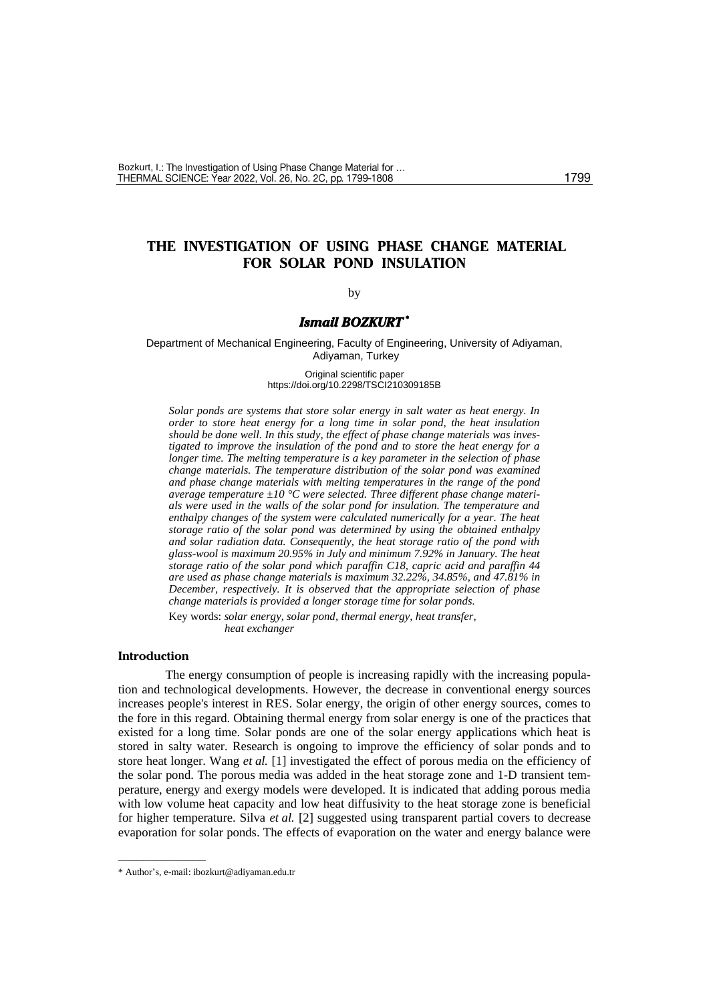# **THE INVESTIGATION OF USING PHASE CHANGE MATERIAL FOR SOLAR POND INSULATION**

## by

#### *Ismail BOZKURT \**

Department of Mechanical Engineering, Faculty of Engineering, University of Adiyaman, Adiyaman, Turkey

### Original scientific paper https://doi.org/10.2298/TSCI210309185B

*Solar ponds are systems that store solar energy in salt water as heat energy. In order to store heat energy for a long time in solar pond, the heat insulation should be done well. In this study, the effect of phase change materials was investigated to improve the insulation of the pond and to store the heat energy for a longer time. The melting temperature is a key parameter in the selection of phase change materials. The temperature distribution of the solar pond was examined and phase change materials with melting temperatures in the range of the pond average temperature ±10 °C were selected. Three different phase change materials were used in the walls of the solar pond for insulation. The temperature and enthalpy changes of the system were calculated numerically for a year. The heat storage ratio of the solar pond was determined by using the obtained enthalpy and solar radiation data. Consequently, the heat storage ratio of the pond with glass-wool is maximum 20.95% in July and minimum 7.92% in January. The heat storage ratio of the solar pond which paraffin C18, capric acid and paraffin 44 are used as phase change materials is maximum 32.22%, 34.85%, and 47.81% in December, respectively. It is observed that the appropriate selection of phase change materials is provided a longer storage time for solar ponds.*

Key words: *solar energy, solar pond, thermal energy, heat transfer, heat exchanger*

## **Introduction**

The energy consumption of people is increasing rapidly with the increasing population and technological developments. However, the decrease in conventional energy sources increases people's interest in RES. Solar energy, the origin of other energy sources, comes to the fore in this regard. Obtaining thermal energy from solar energy is one of the practices that existed for a long time. Solar ponds are one of the solar energy applications which heat is stored in salty water. Research is ongoing to improve the efficiency of solar ponds and to store heat longer. Wang *et al.* [1] investigated the effect of porous media on the efficiency of the solar pond. The porous media was added in the heat storage zone and 1-D transient temperature, energy and exergy models were developed. It is indicated that adding porous media with low volume heat capacity and low heat diffusivity to the heat storage zone is beneficial for higher temperature. Silva *et al.* [2] suggested using transparent partial covers to decrease evaporation for solar ponds. The effects of evaporation on the water and energy balance were

––––––––––––––

<sup>\*</sup> Author's, e-mail[: ibozkurt@adiyaman.edu.tr](mailto:ibozkurt@adiyaman.edu.tr)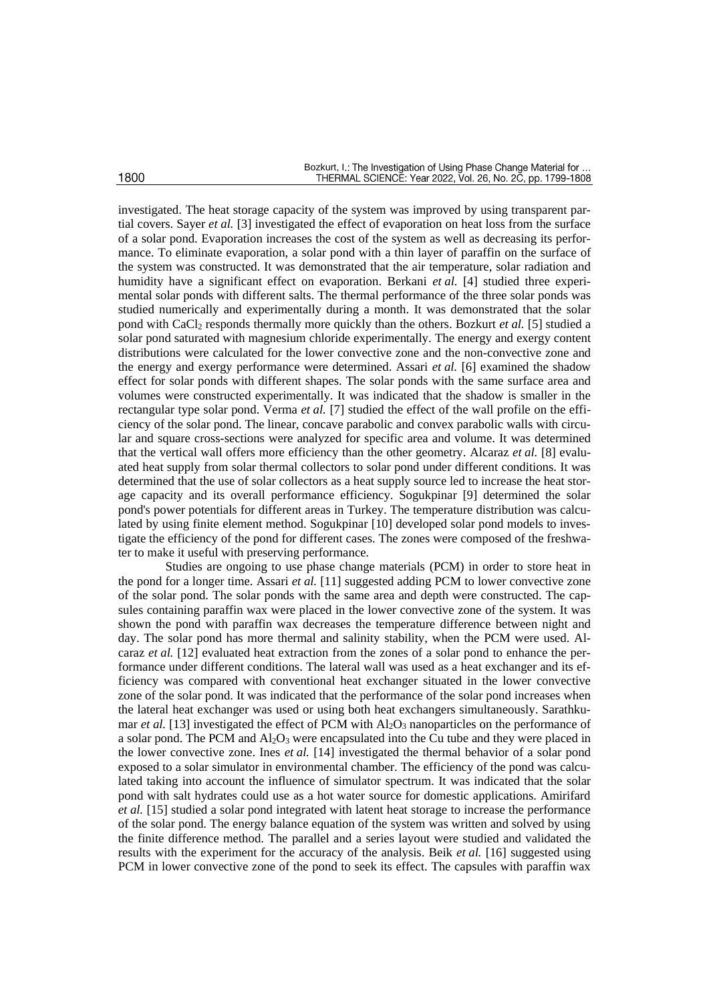investigated. The heat storage capacity of the system was improved by using transparent partial covers. Sayer *et al.* [3] investigated the effect of evaporation on heat loss from the surface of a solar pond. Evaporation increases the cost of the system as well as decreasing its performance. To eliminate evaporation, a solar pond with a thin layer of paraffin on the surface of the system was constructed. It was demonstrated that the air temperature, solar radiation and humidity have a significant effect on evaporation. Berkani *et al.* [4] studied three experimental solar ponds with different salts. The thermal performance of the three solar ponds was studied numerically and experimentally during a month. It was demonstrated that the solar pond with CaCl<sup>2</sup> responds thermally more quickly than the others. Bozkurt *et al.* [5] studied a solar pond saturated with magnesium chloride experimentally. The energy and exergy content distributions were calculated for the lower convective zone and the non-convective zone and the energy and exergy performance were determined. Assari *et al.* [6] examined the shadow effect for solar ponds with different shapes. The solar ponds with the same surface area and volumes were constructed experimentally. It was indicated that the shadow is smaller in the rectangular type solar pond. Verma *et al.* [7] studied the effect of the wall profile on the efficiency of the solar pond. The linear, concave parabolic and convex parabolic walls with circular and square cross-sections were analyzed for specific area and volume. It was determined that the vertical wall offers more efficiency than the other geometry. Alcaraz *et al.* [8] evaluated heat supply from solar thermal collectors to solar pond under different conditions. It was determined that the use of solar collectors as a heat supply source led to increase the heat storage capacity and its overall performance efficiency. Sogukpinar [9] determined the solar pond's power potentials for different areas in Turkey. The temperature distribution was calculated by using finite element method. Sogukpinar [10] developed solar pond models to investigate the efficiency of the pond for different cases. The zones were composed of the freshwater to make it useful with preserving performance.

Studies are ongoing to use phase change materials (PCM) in order to store heat in the pond for a longer time. Assari *et al.* [11] suggested adding PCM to lower convective zone of the solar pond. The solar ponds with the same area and depth were constructed. The capsules containing paraffin wax were placed in the lower convective zone of the system. It was shown the pond with paraffin wax decreases the temperature difference between night and day. The solar pond has more thermal and salinity stability, when the PCM were used. Alcaraz *et al.* [12] evaluated heat extraction from the zones of a solar pond to enhance the performance under different conditions. The lateral wall was used as a heat exchanger and its efficiency was compared with conventional heat exchanger situated in the lower convective zone of the solar pond. It was indicated that the performance of the solar pond increases when the lateral heat exchanger was used or using both heat exchangers simultaneously. Sarathkumar *et al.* [13] investigated the effect of PCM with  $A_2O_3$  nanoparticles on the performance of a solar pond. The PCM and  $\text{Al}_2\text{O}_3$  were encapsulated into the Cu tube and they were placed in the lower convective zone. Ines *et al.* [14] investigated the thermal behavior of a solar pond exposed to a solar simulator in environmental chamber. The efficiency of the pond was calculated taking into account the influence of simulator spectrum. It was indicated that the solar pond with salt hydrates could use as a hot water source for domestic applications. Amirifard *et al.* [15] studied a solar pond integrated with latent heat storage to increase the performance of the solar pond. The energy balance equation of the system was written and solved by using the finite difference method. The parallel and a series layout were studied and validated the results with the experiment for the accuracy of the analysis. Beik *et al.* [16] suggested using PCM in lower convective zone of the pond to seek its effect. The capsules with paraffin wax

1800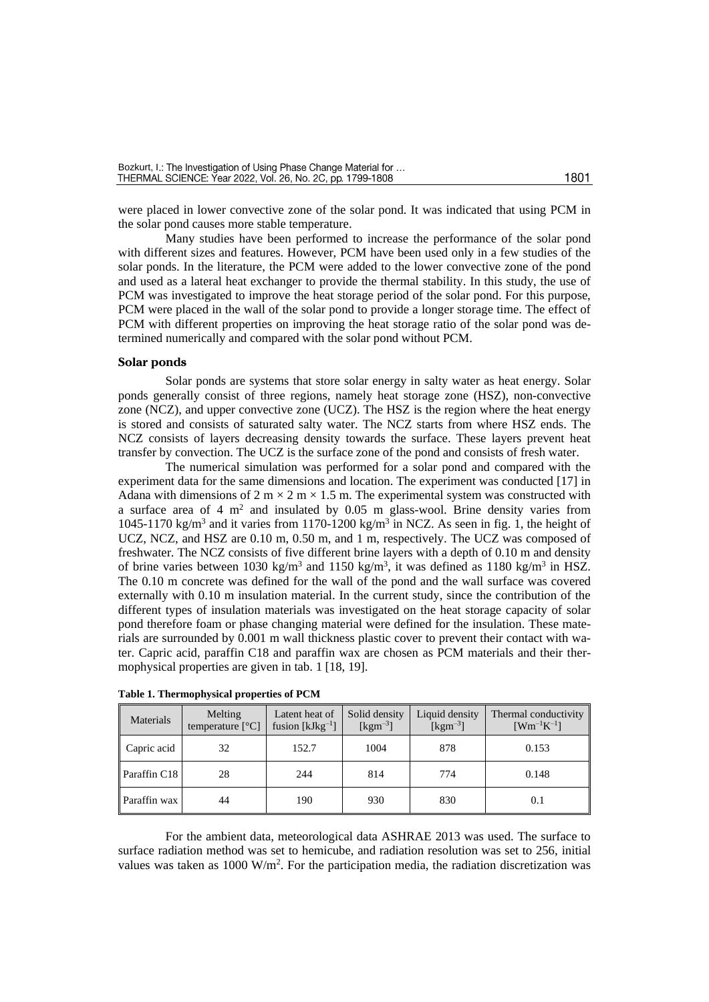were placed in lower convective zone of the solar pond. It was indicated that using PCM in the solar pond causes more stable temperature.

Many studies have been performed to increase the performance of the solar pond with different sizes and features. However, PCM have been used only in a few studies of the solar ponds. In the literature, the PCM were added to the lower convective zone of the pond and used as a lateral heat exchanger to provide the thermal stability. In this study, the use of PCM was investigated to improve the heat storage period of the solar pond. For this purpose, PCM were placed in the wall of the solar pond to provide a longer storage time. The effect of PCM with different properties on improving the heat storage ratio of the solar pond was determined numerically and compared with the solar pond without PCM.

#### **Solar ponds**

Solar ponds are systems that store solar energy in salty water as heat energy. Solar ponds generally consist of three regions, namely heat storage zone (HSZ), non-convective zone (NCZ), and upper convective zone (UCZ). The HSZ is the region where the heat energy is stored and consists of saturated salty water. The NCZ starts from where HSZ ends. The NCZ consists of layers decreasing density towards the surface. These layers prevent heat transfer by convection. The UCZ is the surface zone of the pond and consists of fresh water.

The numerical simulation was performed for a solar pond and compared with the experiment data for the same dimensions and location. The experiment was conducted [17] in Adana with dimensions of  $2 \text{ m} \times 2 \text{ m} \times 1.5 \text{ m}$ . The experimental system was constructed with a surface area of 4 m<sup>2</sup> and insulated by 0.05 m glass-wool. Brine density varies from 1045-1170 kg/m<sup>3</sup> and it varies from 1170-1200 kg/m<sup>3</sup> in NCZ. As seen in fig. 1, the height of UCZ, NCZ, and HSZ are 0.10 m, 0.50 m, and 1 m, respectively. The UCZ was composed of freshwater. The NCZ consists of five different brine layers with a depth of 0.10 m and density of brine varies between 1030 kg/m<sup>3</sup> and 1150 kg/m<sup>3</sup>, it was defined as 1180 kg/m<sup>3</sup> in HSZ. The 0.10 m concrete was defined for the wall of the pond and the wall surface was covered externally with 0.10 m insulation material. In the current study, since the contribution of the different types of insulation materials was investigated on the heat storage capacity of solar pond therefore foam or phase changing material were defined for the insulation. These materials are surrounded by 0.001 m wall thickness plastic cover to prevent their contact with water. Capric acid, paraffin C18 and paraffin wax are chosen as PCM materials and their thermophysical properties are given in tab. 1 [18, 19].

| Materials    | Melting<br>temperature $[^{\circ}C]$ | Latent heat of<br>fusion $[kJkg^{-1}]$ | Solid density<br>$[kgm^{-3}]$ | Liquid density<br>[ $kgm^{-3}$ ] | Thermal conductivity<br>$[Wm^{-1}K^{-1}]$ |
|--------------|--------------------------------------|----------------------------------------|-------------------------------|----------------------------------|-------------------------------------------|
| Capric acid  | 32                                   | 152.7                                  | 1004                          | 878                              | 0.153                                     |
| Paraffin C18 | 28                                   | 244                                    | 814                           | 774                              | 0.148                                     |
| Paraffin wax | 44                                   | 190                                    | 930                           | 830                              | 0.1                                       |

**Table 1. Thermophysical properties of PCM**

For the ambient data, meteorological data ASHRAE 2013 was used. The surface to surface radiation method was set to hemicube, and radiation resolution was set to 256, initial values was taken as  $1000 \text{ W/m}^2$ . For the participation media, the radiation discretization was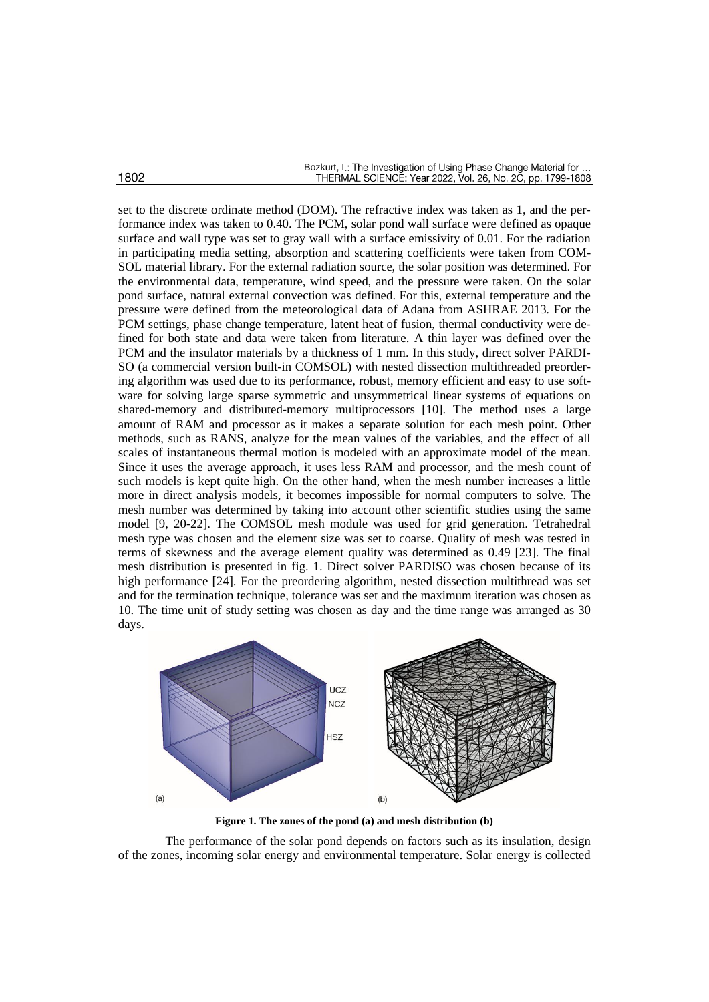set to the discrete ordinate method (DOM). The refractive index was taken as 1, and the performance index was taken to 0.40. The PCM, solar pond wall surface were defined as opaque surface and wall type was set to gray wall with a surface emissivity of 0.01. For the radiation in participating media setting, absorption and scattering coefficients were taken from COM-SOL material library. For the external radiation source, the solar position was determined. For the environmental data, temperature, wind speed, and the pressure were taken. On the solar pond surface, natural external convection was defined. For this, external temperature and the pressure were defined from the meteorological data of Adana from ASHRAE 2013. For the PCM settings, phase change temperature, latent heat of fusion, thermal conductivity were defined for both state and data were taken from literature. A thin layer was defined over the PCM and the insulator materials by a thickness of 1 mm. In this study, direct solver PARDI-SO (a commercial version built-in COMSOL) with nested dissection multithreaded preordering algorithm was used due to its performance, robust, memory efficient and easy to use software for solving large sparse symmetric and unsymmetrical linear systems of equations on shared-memory and distributed-memory multiprocessors [10]. The method uses a large amount of RAM and processor as it makes a separate solution for each mesh point. Other methods, such as RANS, analyze for the mean values of the variables, and the effect of all scales of instantaneous thermal motion is modeled with an approximate model of the mean. Since it uses the average approach, it uses less RAM and processor, and the mesh count of such models is kept quite high. On the other hand, when the mesh number increases a little more in direct analysis models, it becomes impossible for normal computers to solve. The mesh number was determined by taking into account other scientific studies using the same model [9, 20-22]. The COMSOL mesh module was used for grid generation. Tetrahedral mesh type was chosen and the element size was set to coarse. Quality of mesh was tested in terms of skewness and the average element quality was determined as 0.49 [23]. The final mesh distribution is presented in fig. 1. Direct solver PARDISO was chosen because of its high performance [24]. For the preordering algorithm, nested dissection multithread was set and for the termination technique, tolerance was set and the maximum iteration was chosen as 10. The time unit of study setting was chosen as day and the time range was arranged as 30 days.



**Figure 1. The zones of the pond (a) and mesh distribution (b)**

The performance of the solar pond depends on factors such as its insulation, design of the zones, incoming solar energy and environmental temperature. Solar energy is collected

1802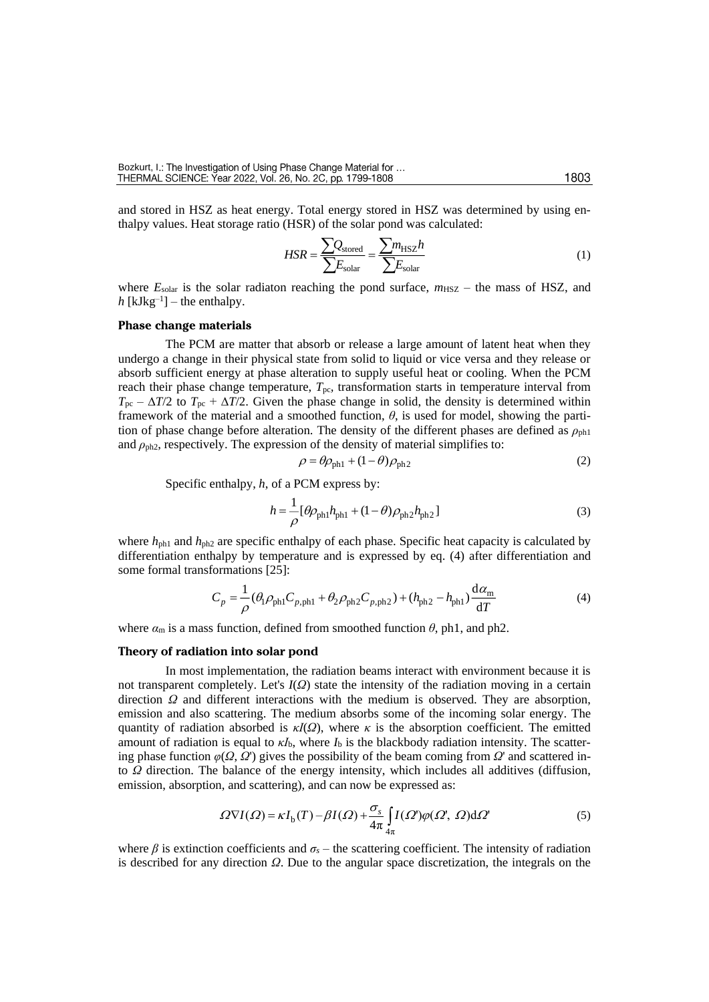and stored in HSZ as heat energy. Total energy stored in HSZ was determined by using enthalpy values. Heat storage ratio (HSR) of the solar pond was calculated:

$$
HSR = \frac{\sum Q_{\text{stored}}}{\sum E_{\text{solar}}} = \frac{\sum m_{\text{HSZ}} h}{\sum E_{\text{solar}}} \tag{1}
$$

where  $E_{\text{solar}}$  is the solar radiaton reaching the pond surface,  $m_{\text{HSZ}}$  – the mass of HSZ, and  $h$  [kJkg<sup>-1</sup>] – the enthalpy.

#### **Phase change materials**

The PCM are matter that absorb or release a large amount of latent heat when they undergo a change in their physical state from solid to liquid or vice versa and they release or absorb sufficient energy at phase alteration to supply useful heat or cooling. When the PCM reach their phase change temperature,  $T_{\text{pc}}$ , transformation starts in temperature interval from  $T_{pc} - \Delta T/2$  to  $T_{pc} + \Delta T/2$ . Given the phase change in solid, the density is determined within framework of the material and a smoothed function, *θ*, is used for model, showing the partition of phase change before alteration. The density of the different phases are defined as  $\rho_{\text{ph1}}$ and  $\rho_{ph2}$ , respectively. The expression of the density of material simplifies to:

$$
\rho = \theta \rho_{\text{ph1}} + (1 - \theta) \rho_{\text{ph2}} \tag{2}
$$

Specific enthalpy, *h*, of a PCM express by:

$$
h = \frac{1}{\rho} [\theta \rho_{\text{ph1}} h_{\text{ph1}} + (1 - \theta) \rho_{\text{ph2}} h_{\text{ph2}}] \tag{3}
$$

where  $h_{ph1}$  and  $h_{ph2}$  are specific enthalpy of each phase. Specific heat capacity is calculated by differentiation enthalpy by temperature and is expressed by eq. (4) after differentiation and some formal transformations [25]:

$$
C_p = \frac{1}{\rho} (\theta_1 \rho_{ph1} C_{p,ph1} + \theta_2 \rho_{ph2} C_{p,ph2}) + (h_{ph2} - h_{ph1}) \frac{d\alpha_m}{dT}
$$
 (4)

where  $\alpha_m$  is a mass function, defined from smoothed function  $\theta$ , ph1, and ph2.

#### **Theory of radiation into solar pond**

In most implementation, the radiation beams interact with environment because it is not transparent completely. Let's *I*(*Ω*) state the intensity of the radiation moving in a certain direction *Ω* and different interactions with the medium is observed. They are absorption, emission and also scattering. The medium absorbs some of the incoming solar energy. The quantity of radiation absorbed is  $\kappa I(\Omega)$ , where  $\kappa$  is the absorption coefficient. The emitted amount of radiation is equal to  $\kappa I_b$ , where  $I_b$  is the blackbody radiation intensity. The scattering phase function  $\varphi(\Omega, \Omega')$  gives the possibility of the beam coming from  $\Omega'$  and scattered into *Ω* direction. The balance of the energy intensity, which includes all additives (diffusion, emission, absorption, and scattering), and can now be expressed as:

$$
\Omega \nabla I(\Omega) = \kappa I_{\text{b}}(T) - \beta I(\Omega) + \frac{\sigma_s}{4\pi} \int_{4\pi} I(\Omega') \varphi(\Omega', \Omega) d\Omega'
$$
 (5)

where *β* is extinction coefficients and  $\sigma_s$  – the scattering coefficient. The intensity of radiation is described for any direction *Ω*. Due to the angular space discretization, the integrals on the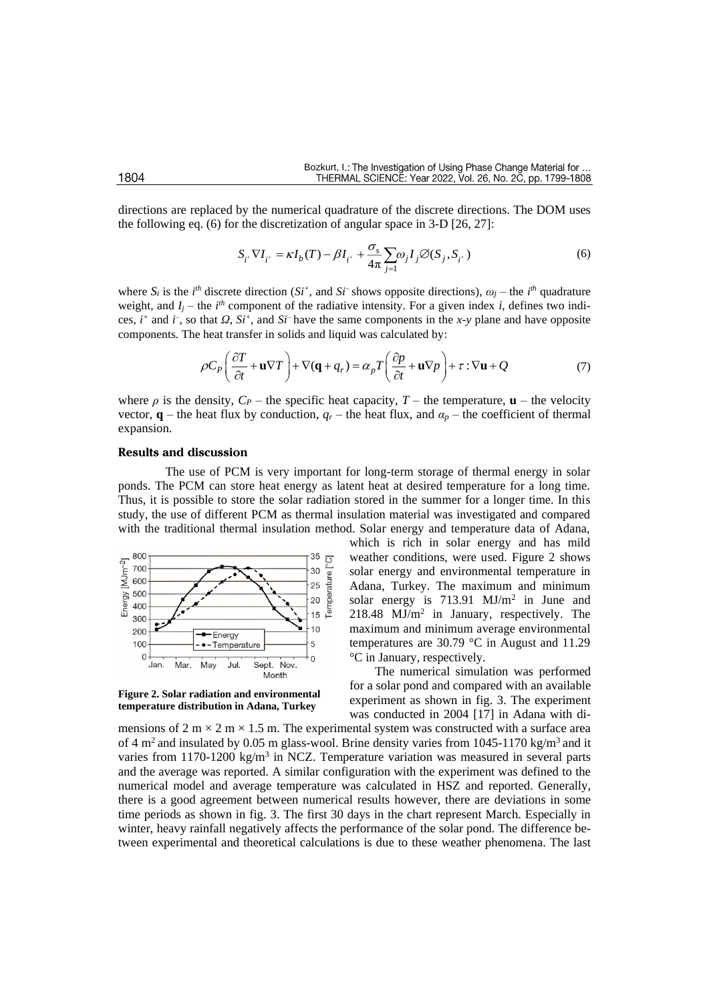directions are replaced by the numerical quadrature of the discrete directions. The DOM uses the following eq. (6) for the discretization of angular space in 3-D [26, 27]:

$$
S_{i'} \nabla I_{i'} = \kappa I_b(T) - \beta I_{i'} + \frac{\sigma_s}{4\pi} \sum_{j=1}^{\infty} \omega_j I_j \mathcal{O}(S_j, S_{i'})
$$
(6)

where  $S_i$  is the *i*<sup>th</sup> discrete direction ( $Si^+$ , and  $Si^-$  shows opposite directions),  $\omega_j$  – the *i*<sup>th</sup> quadrature weight, and  $I_j$  – the  $i^{th}$  component of the radiative intensity. For a given index *i*, defines two indices, *i*<sup>+</sup> and *i*<sup>-</sup>, so that  $\Omega$ ,  $Si^+$ , and  $Si^-$  have the same components in the *x*-y plane and have opposite components. The heat transfer in solids and liquid was calculated by:

$$
\rho C_P \left( \frac{\partial T}{\partial t} + \mathbf{u} \nabla T \right) + \nabla (\mathbf{q} + q_r) = \alpha_p T \left( \frac{\partial p}{\partial t} + \mathbf{u} \nabla p \right) + \tau : \nabla \mathbf{u} + Q \tag{7}
$$

where  $\rho$  is the density,  $C_P$  – the specific heat capacity,  $T$  – the temperature,  $\mathbf{u}$  – the velocity vector,  $\mathbf{q}$  – the heat flux by conduction,  $q_r$  – the heat flux, and  $\alpha_p$  – the coefficient of thermal expansion.

## **Results and discussion**

The use of PCM is very important for long-term storage of thermal energy in solar ponds. The PCM can store heat energy as latent heat at desired temperature for a long time. Thus, it is possible to store the solar radiation stored in the summer for a longer time. In this study, the use of different PCM as thermal insulation material was investigated and compared with the traditional thermal insulation method. Solar energy and temperature data of Adana,





which is rich in solar energy and has mild weather conditions, were used. Figure 2 shows solar energy and environmental temperature in Adana, Turkey. The maximum and minimum solar energy is  $713.91$  MJ/m<sup>2</sup> in June and  $218.48$  MJ/m<sup>2</sup> in January, respectively. The maximum and minimum average environmental temperatures are 30.79 °C in August and 11.29 °C in January, respectively.

The numerical simulation was performed for a solar pond and compared with an available experiment as shown in fig. 3. The experiment was conducted in 2004 [17] in Adana with di-

mensions of  $2 \text{ m} \times 2 \text{ m} \times 1.5 \text{ m}$ . The experimental system was constructed with a surface area of 4 m<sup>2</sup> and insulated by 0.05 m glass-wool. Brine density varies from 1045-1170 kg/m<sup>3</sup> and it varies from 1170-1200 kg/m<sup>3</sup> in NCZ. Temperature variation was measured in several parts and the average was reported. A similar configuration with the experiment was defined to the numerical model and average temperature was calculated in HSZ and reported. Generally, there is a good agreement between numerical results however, there are deviations in some time periods as shown in fig. 3. The first 30 days in the chart represent March. Especially in winter, heavy rainfall negatively affects the performance of the solar pond. The difference between experimental and theoretical calculations is due to these weather phenomena. The last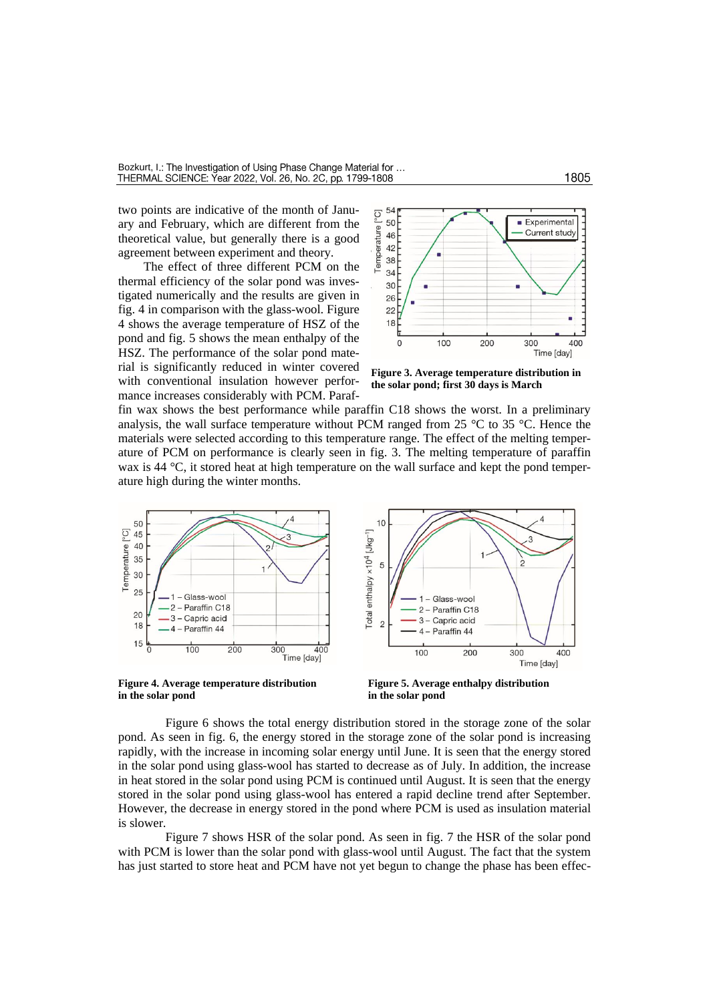two points are indicative of the month of January and February, which are different from the theoretical value, but generally there is a good agreement between experiment and theory.

The effect of three different PCM on the thermal efficiency of the solar pond was investigated numerically and the results are given in fig. 4 in comparison with the glass-wool. Figure 4 shows the average temperature of HSZ of the pond and fig. 5 shows the mean enthalpy of the HSZ. The performance of the solar pond material is significantly reduced in winter covered with conventional insulation however performance increases considerably with PCM. Paraf-



**Figure 3. Average temperature distribution in the solar pond; first 30 days is March**

fin wax shows the best performance while paraffin C18 shows the worst. In a preliminary analysis, the wall surface temperature without PCM ranged from 25 °C to 35 °C. Hence the materials were selected according to this temperature range. The effect of the melting temperature of PCM on performance is clearly seen in fig. 3. The melting temperature of paraffin wax is 44  $\degree$ C, it stored heat at high temperature on the wall surface and kept the pond temperature high during the winter months.



**Figure 4. Average temperature distribution in the solar pond**

**Figure 5. Average enthalpy distribution in the solar pond**

Figure 6 shows the total energy distribution stored in the storage zone of the solar pond. As seen in fig. 6, the energy stored in the storage zone of the solar pond is increasing rapidly, with the increase in incoming solar energy until June. It is seen that the energy stored in the solar pond using glass-wool has started to decrease as of July. In addition, the increase in heat stored in the solar pond using PCM is continued until August. It is seen that the energy stored in the solar pond using glass-wool has entered a rapid decline trend after September. However, the decrease in energy stored in the pond where PCM is used as insulation material is slower.

Figure 7 shows HSR of the solar pond. As seen in fig. 7 the HSR of the solar pond with PCM is lower than the solar pond with glass-wool until August. The fact that the system has just started to store heat and PCM have not yet begun to change the phase has been effec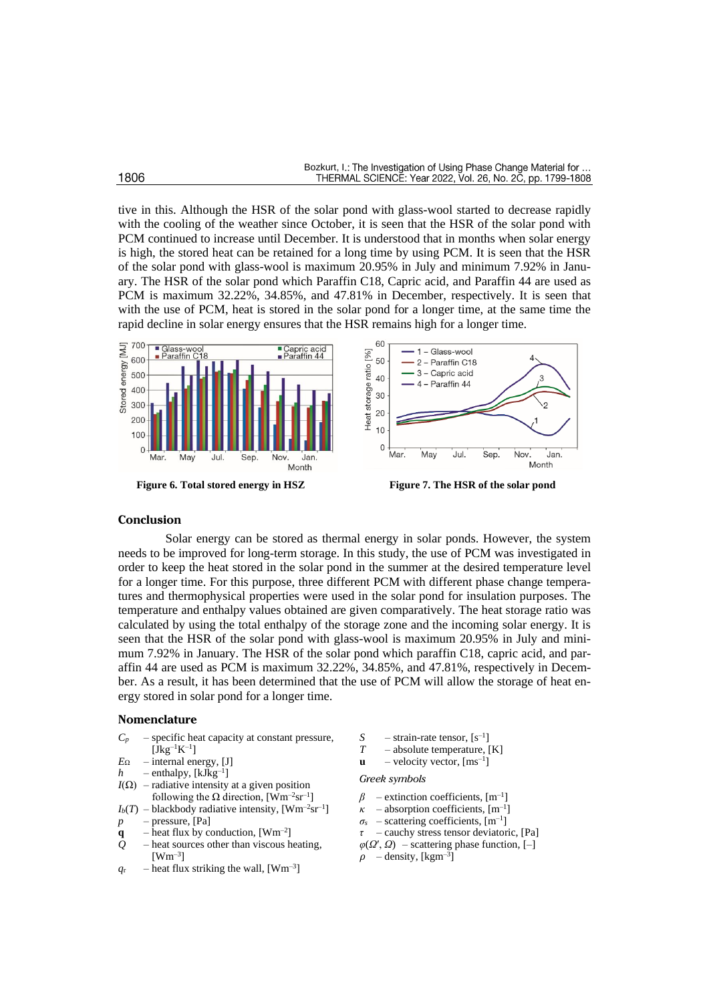tive in this. Although the HSR of the solar pond with glass-wool started to decrease rapidly with the cooling of the weather since October, it is seen that the HSR of the solar pond with PCM continued to increase until December. It is understood that in months when solar energy is high, the stored heat can be retained for a long time by using PCM. It is seen that the HSR of the solar pond with glass-wool is maximum 20.95% in July and minimum 7.92% in January. The HSR of the solar pond which Paraffin C18, Capric acid, and Paraffin 44 are used as PCM is maximum 32.22%, 34.85%, and 47.81% in December, respectively. It is seen that with the use of PCM, heat is stored in the solar pond for a longer time, at the same time the rapid decline in solar energy ensures that the HSR remains high for a longer time.



## **Conclusion**

Solar energy can be stored as thermal energy in solar ponds. However, the system needs to be improved for long-term storage. In this study, the use of PCM was investigated in order to keep the heat stored in the solar pond in the summer at the desired temperature level for a longer time. For this purpose, three different PCM with different phase change temperatures and thermophysical properties were used in the solar pond for insulation purposes. The temperature and enthalpy values obtained are given comparatively. The heat storage ratio was calculated by using the total enthalpy of the storage zone and the incoming solar energy. It is seen that the HSR of the solar pond with glass-wool is maximum 20.95% in July and minimum 7.92% in January. The HSR of the solar pond which paraffin C18, capric acid, and paraffin 44 are used as PCM is maximum 32.22%, 34.85%, and 47.81%, respectively in December. As a result, it has been determined that the use of PCM will allow the storage of heat energy stored in solar pond for a longer time.

#### **Nomenclature**

- $C_p$  specific heat capacity at constant pressure,  $[Jkg^{-1}K^{-1}]$
- $E_{\Omega}$  internal energy, [J]
- $h$  enthalpy, [kJkg<sup>-1</sup>]
- $I(\Omega)$  radiative intensity at a given position following the  $\Omega$  direction, [Wm<sup>-2</sup>sr<sup>-1</sup>]
- $I_b(T)$  blackbody radiative intensity, [Wm<sup>-2</sup>sr<sup>-1</sup>]
- *p* pressure, [Pa]
- $q$  heat flux by conduction,  $[Wm^{-2}]$
- *Q* heat sources other than viscous heating,  $[Wm^{-3}]$
- $q_{\rm r}$  heat flux striking the wall, [Wm<sup>-3</sup>]
- *S* strain-rate tensor,  $[s^{-1}]$
- $T =$ absolute temperature, [K]
- $\mathbf{u}$  velocity vector,  $[m\mathrm{s}^{-1}]$

#### *Greek symbols*

- $\beta$  extinction coefficients,  $[m^{-1}]$
- $\kappa$  absorption coefficients,  $[m^{-1}]$
- $\sigma_s$  scattering coefficients,  $[m^{-1}]$
- *τ* cauchy stress tensor deviatoric, [Pa]
- $\varphi(\Omega', \Omega)$  scattering phase function, [–]
- $\rho$  density, [kgm<sup>-3</sup>]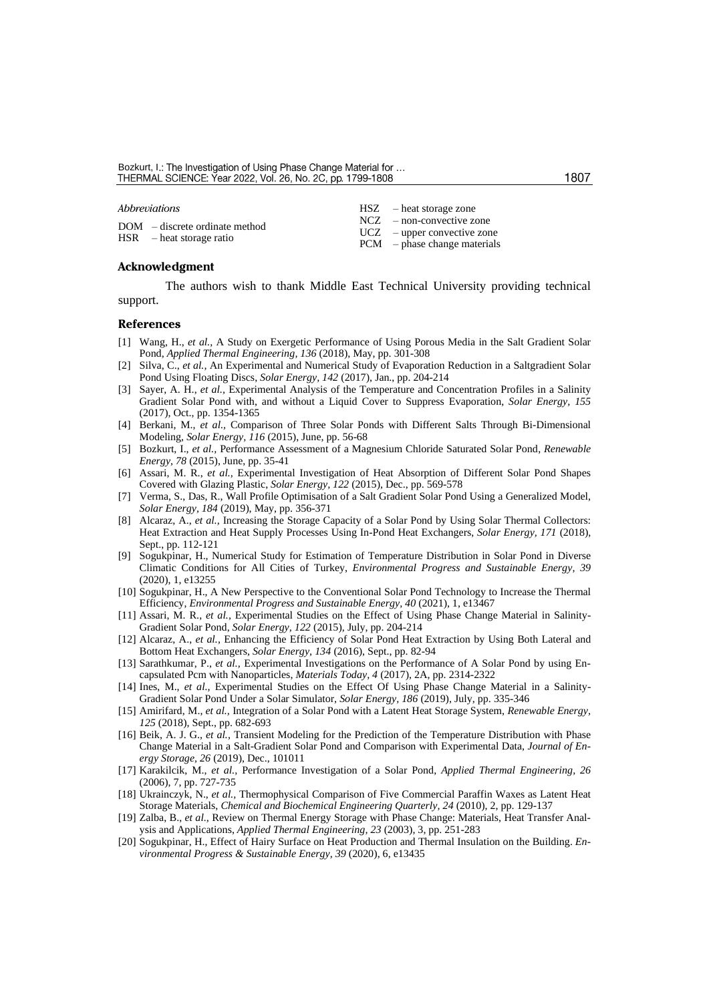Bozkurt, I.: The Investigation of Using Phase Change Material for ...<br>THERMAL SCIENCE: Year 2022, Vol. 26, No. 2C, pp. 1799-1808

| Abbreviations                    |  | $\text{H}\text{SZ}$ - heat storage zone |
|----------------------------------|--|-----------------------------------------|
| $DOM$ – discrete ordinate method |  | $NCZ$ – non-convective zone             |
| $HSR$ – heat storage ratio       |  | $UCZ$ – upper convective zone           |
|                                  |  | $PCM$ – phase change materials          |

## **Acknowledgment**

The authors wish to thank Middle East Technical University providing technical support.

## **References**

- [1] Wang, H., *et al.,* A Study on Exergetic Performance of Using Porous Media in the Salt Gradient Solar Pond, *Applied Thermal Engineering, 136* (2018), May, pp. 301-308
- [2] Silva, C., *et al.,* An Experimental and Numerical Study of Evaporation Reduction in a Saltgradient Solar Pond Using Floating Discs, *Solar Energy, 142* (2017), Jan., pp. 204-214
- [3] Sayer, A. H., *et al.,* Experimental Analysis of the Temperature and Concentration Profiles in a Salinity Gradient Solar Pond with, and without a Liquid Cover to Suppress Evaporation, *Solar Energy, 155* (2017), Oct., pp. 1354-1365
- [4] Berkani, M., *et al.,* Comparison of Three Solar Ponds with Different Salts Through Bi-Dimensional Modeling, *Solar Energy, 116* (2015), June, pp. 56-68
- [5] Bozkurt, I., *et al.,* Performance Assessment of a Magnesium Chloride Saturated Solar Pond, *Renewable Energy, 78* (2015), June, pp. 35-41
- [6] Assari, M. R., *et al.,* Experimental Investigation of Heat Absorption of Different Solar Pond Shapes Covered with Glazing Plastic, *Solar Energy, 122* (2015), Dec., pp. 569-578
- [7] Verma, S., Das, R., Wall Profile Optimisation of a Salt Gradient Solar Pond Using a Generalized Model, *Solar Energy, 184* (2019), May, pp. 356-371
- [8] Alcaraz, A., *et al.*, Increasing the Storage Capacity of a Solar Pond by Using Solar Thermal Collectors: Heat Extraction and Heat Supply Processes Using In-Pond Heat Exchangers, *Solar Energy, 171* (2018), Sept., pp. 112-121
- [9] Sogukpinar, H., Numerical Study for Estimation of Temperature Distribution in Solar Pond in Diverse Climatic Conditions for All Cities of Turkey, *Environmental Progress and Sustainable Energy, 39* (2020), 1, e13255
- [10] Sogukpinar, H., A New Perspective to the Conventional Solar Pond Technology to Increase the Thermal Efficiency, *Environmental Progress and Sustainable Energy, 40* (2021), 1, e13467
- [11] Assari, M. R., *et al.,* Experimental Studies on the Effect of Using Phase Change Material in Salinity-Gradient Solar Pond, *Solar Energy, 122* (2015), July, pp. 204-214
- [12] Alcaraz, A., *et al.,* Enhancing the Efficiency of Solar Pond Heat Extraction by Using Both Lateral and Bottom Heat Exchangers, *Solar Energy, 134* (2016), Sept., pp. 82-94
- [13] Sarathkumar, P., *et al.,* Experimental Investigations on the Performance of A Solar Pond by using Encapsulated Pcm with Nanoparticles, *Materials Today, 4* (2017), 2A, pp. 2314-2322
- [14] Ines, M., *et al.,* Experimental Studies on the Effect Of Using Phase Change Material in a Salinity-Gradient Solar Pond Under a Solar Simulator, *Solar Energy, 186* (2019), July, pp. 335-346
- [15] Amirifard, M., *et al.,* Integration of a Solar Pond with a Latent Heat Storage System, *Renewable Energy, 125* (2018), Sept., pp. 682-693
- [16] Beik, A. J. G., *et al.,* Transient Modeling for the Prediction of the Temperature Distribution with Phase Change Material in a Salt-Gradient Solar Pond and Comparison with Experimental Data, *Journal of Energy Storage, 26* (2019), Dec., 101011
- [17] Karakilcik, M., *et al.,* Performance Investigation of a Solar Pond, *Applied Thermal Engineering, 26* (2006), 7, pp. 727-735
- [18] Ukrainczyk, N., *et al.,* Thermophysical Comparison of Five Commercial Paraffin Waxes as Latent Heat Storage Materials, *Chemical and Biochemical Engineering Quarterly, 24* (2010), 2, pp. 129-137
- [19] Zalba, B., *et al.,* Review on Thermal Energy Storage with Phase Change: Materials, Heat Transfer Analysis and Applications, *Applied Thermal Engineering, 23* (2003), 3, pp. 251-283
- [20] Sogukpinar, H., Effect of Hairy Surface on Heat Production and Thermal Insulation on the Building. *Environmental Progress & Sustainable Energy, 39* (2020), 6, e13435